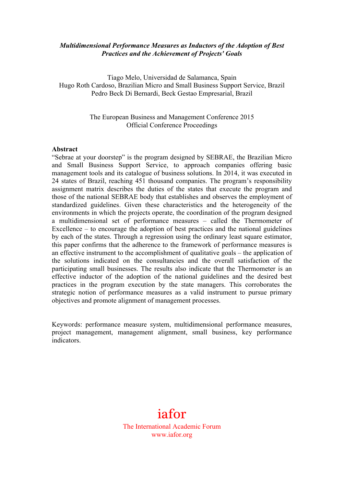#### *Multidimensional Performance Measures as Inductors of the Adoption of Best Practices and the Achievement of Projects' Goals*

Tiago Melo, Universidad de Salamanca, Spain Hugo Roth Cardoso, Brazilian Micro and Small Business Support Service, Brazil Pedro Beck Di Bernardi, Beck Gestao Empresarial, Brazil

> The European Business and Management Conference 2015 Official Conference Proceedings

#### **Abstract**

"Sebrae at your doorstep" is the program designed by SEBRAE, the Brazilian Micro and Small Business Support Service, to approach companies offering basic management tools and its catalogue of business solutions. In 2014, it was executed in 24 states of Brazil, reaching 451 thousand companies. The program's responsibility assignment matrix describes the duties of the states that execute the program and those of the national SEBRAE body that establishes and observes the employment of standardized guidelines. Given these characteristics and the heterogeneity of the environments in which the projects operate, the coordination of the program designed a multidimensional set of performance measures – called the Thermometer of Excellence – to encourage the adoption of best practices and the national guidelines by each of the states. Through a regression using the ordinary least square estimator, this paper confirms that the adherence to the framework of performance measures is an effective instrument to the accomplishment of qualitative goals – the application of the solutions indicated on the consultancies and the overall satisfaction of the participating small businesses. The results also indicate that the Thermometer is an effective inductor of the adoption of the national guidelines and the desired best practices in the program execution by the state managers. This corroborates the strategic notion of performance measures as a valid instrument to pursue primary objectives and promote alignment of management processes.

Keywords: performance measure system, multidimensional performance measures, project management, management alignment, small business, key performance indicators.

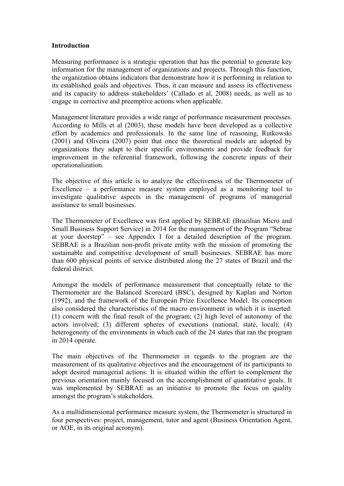#### **Introduction**

Measuring performance is a strategic operation that has the potential to generate key information for the management of organizations and projects. Through this function, the organization obtains indicators that demonstrate how it is performing in relation to its established goals and objectives. Thus, it can measure and assess its effectiveness and its capacity to address stakeholders' (Callado et al, 2008) needs, as well as to engage in corrective and preemptive actions when applicable.

Management literature provides a wide range of performance measurement processes. According to Mills et al (2003), these models have been developed as a collective effort by academics and professionals. In the same line of reasoning, Rutkowski (2001) and Oliveira (2007) point that once the theoretical models are adopted by organizations they adapt to their specific environments and provide feedback for improvement in the referential framework, following the concrete inputs of their operationalization.

The objective of this article is to analyze the effectiveness of the Thermometer of Excellence – a performance measure system employed as a monitoring tool to investigate qualitative aspects in the management of programs of managerial assistance to small businesses.

The Thermometer of Excellence was first applied by SEBRAE (Brazilian Micro and Small Business Support Service) in 2014 for the management of the Program "Sebrae at your doorstep" – see Appendix I for a detailed description of the program. SEBRAE is a Brazilian non-profit private entity with the mission of promoting the sustainable and competitive development of small businesses. SEBRAE has more than 600 physical points of service distributed along the 27 states of Brazil and the federal district.

Amongst the models of performance measurement that conceptually relate to the Thermometer are the Balanced Scorecard (BSC), designed by Kaplan and Norton (1992), and the framework of the European Prize Excellence Model. Its conception also considered the characteristics of the macro environment in which it is inserted: (1) concern with the final result of the program; (2) high level of autonomy of the actors involved; (3) different spheres of executions (national, state, local); (4) heterogeneity of the environments in which each of the 24 states that ran the program in 2014 operate.

The main objectives of the Thermometer in regards to the program are the measurement of its qualitative objectives and the encouragement of its participants to adopt desired managerial actions. It is situated within the effort to complement the previous orientation mainly focused on the accomplishment of quantitative goals. It was implemented by SEBRAE as an initiative to promote the focus on quality amongst the program's stakeholders.

As a multidimensional performance measure system, the Thermometer is structured in four perspectives: project, management, tutor and agent (Business Orientation Agent, or AOE, in its original acronym).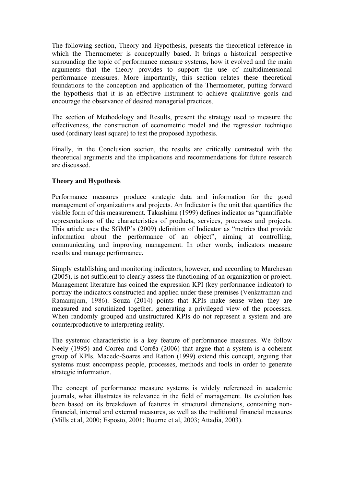The following section, Theory and Hypothesis, presents the theoretical reference in which the Thermometer is conceptually based. It brings a historical perspective surrounding the topic of performance measure systems, how it evolved and the main arguments that the theory provides to support the use of multidimensional performance measures. More importantly, this section relates these theoretical foundations to the conception and application of the Thermometer, putting forward the hypothesis that it is an effective instrument to achieve qualitative goals and encourage the observance of desired managerial practices.

The section of Methodology and Results, present the strategy used to measure the effectiveness, the construction of econometric model and the regression technique used (ordinary least square) to test the proposed hypothesis.

Finally, in the Conclusion section, the results are critically contrasted with the theoretical arguments and the implications and recommendations for future research are discussed.

# **Theory and Hypothesis**

Performance measures produce strategic data and information for the good management of organizations and projects. An Indicator is the unit that quantifies the visible form of this measurement. Takashima (1999) defines indicator as "quantifiable representations of the characteristics of products, services, processes and projects. This article uses the SGMP's (2009) definition of Indicator as "metrics that provide information about the performance of an object", aiming at controlling, communicating and improving management. In other words, indicators measure results and manage performance.

Simply establishing and monitoring indicators, however, and according to Marchesan (2005), is not sufficient to clearly assess the functioning of an organization or project. Management literature has coined the expression KPI (key performance indicator) to portray the indicators constructed and applied under these premises (Venkatraman and Ramanujam, 1986). Souza (2014) points that KPIs make sense when they are measured and scrutinized together, generating a privileged view of the processes. When randomly grouped and unstructured KPIs do not represent a system and are counterproductive to interpreting reality.

The systemic characteristic is a key feature of performance measures. We follow Neely (1995) and Corrêa and Corrêa (2006) that argue that a system is a coherent group of KPIs. Macedo-Soares and Ratton (1999) extend this concept, arguing that systems must encompass people, processes, methods and tools in order to generate strategic information.

The concept of performance measure systems is widely referenced in academic journals, what illustrates its relevance in the field of management. Its evolution has been based on its breakdown of features in structural dimensions, containing nonfinancial, internal and external measures, as well as the traditional financial measures (Mills et al, 2000; Esposto, 2001; Bourne et al, 2003; Attadia, 2003).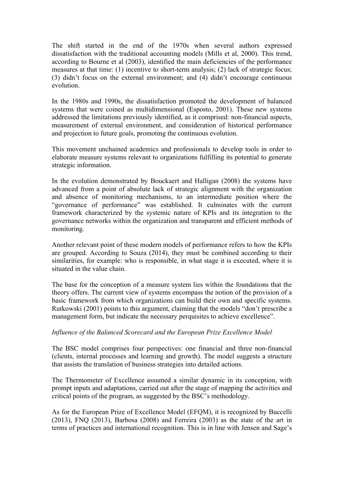The shift started in the end of the 1970s when several authors expressed dissatisfaction with the traditional accounting models (Mills et al, 2000). This trend, according to Bourne et al (2003), identified the main deficiencies of the performance measures at that time: (1) incentive to short-term analysis; (2) lack of strategic focus; (3) didn't focus on the external environment; and (4) didn't encourage continuous evolution.

In the 1980s and 1990s, the dissatisfaction promoted the development of balanced systems that were coined as multidimensional (Esposto, 2001). These new systems addressed the limitations previously identified, as it comprised: non-financial aspects, measurement of external environment, and consideration of historical performance and projection to future goals, promoting the continuous evolution.

This movement unchained academics and professionals to develop tools in order to elaborate measure systems relevant to organizations fulfilling its potential to generate strategic information.

In the evolution demonstrated by Bouckaert and Halligan (2008) the systems have advanced from a point of absolute lack of strategic alignment with the organization and absence of monitoring mechanisms, to an intermediate position where the "governance of performance" was established. It culminates with the current framework characterized by the systemic nature of KPIs and its integration to the governance networks within the organization and transparent and efficient methods of monitoring.

Another relevant point of these modern models of performance refers to how the KPIs are grouped. According to Souza (2014), they must be combined according to their similarities, for example: who is responsible, in what stage it is executed, where it is situated in the value chain.

The base for the conception of a measure system lies within the foundations that the theory offers. The current view of systems encompass the notion of the provision of a basic framework from which organizations can build their own and specific systems. Rutkowski (2001) points to this argument, claiming that the models "don't prescribe a management form, but indicate the necessary perquisites to achieve excellence".

# *Influence of the Balanced Scorecard and the European Prize Excellence Model*

The BSC model comprises four perspectives: one financial and three non-financial (clients, internal processes and learning and growth). The model suggests a structure that assists the translation of business strategies into detailed actions.

The Thermometer of Excellence assumed a similar dynamic in its conception, with prompt inputs and adaptations, carried out after the stage of mapping the activities and critical points of the program, as suggested by the BSC's methodology.

As for the European Prize of Excellence Model (EFQM), it is recognized by Buccelli (2013), FNQ (2013), Barbosa (2008) and Ferreira (2003) as the state of the art in terms of practices and international recognition. This is in line with Jensen and Sage's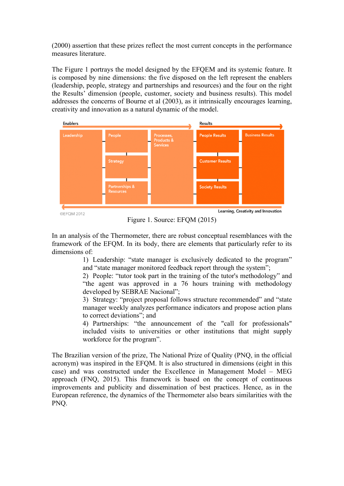(2000) assertion that these prizes reflect the most current concepts in the performance measures literature.

The Figure 1 portrays the model designed by the EFQEM and its systemic feature. It is composed by nine dimensions: the five disposed on the left represent the enablers (leadership, people, strategy and partnerships and resources) and the four on the right the Results' dimension (people, customer, society and business results). This model addresses the concerns of Bourne et al (2003), as it intrinsically encourages learning, creativity and innovation as a natural dynamic of the model.



Figure 1. Source: EFQM (2015)

In an analysis of the Thermometer, there are robust conceptual resemblances with the framework of the EFQM. In its body, there are elements that particularly refer to its dimensions of:

> 1) Leadership: "state manager is exclusively dedicated to the program" and "state manager monitored feedback report through the system";

> 2) People: "tutor took part in the training of the tutor's methodology" and "the agent was approved in a 76 hours training with methodology developed by SEBRAE Nacional";

> 3) Strategy: "project proposal follows structure recommended" and "state manager weekly analyzes performance indicators and propose action plans to correct deviations"; and

> 4) Partnerships: "the announcement of the "call for professionals" included visits to universities or other institutions that might supply workforce for the program".

The Brazilian version of the prize, The National Prize of Quality (PNQ, in the official acronym) was inspired in the EFQM. It is also structured in dimensions (eight in this case) and was constructed under the Excellence in Management Model – MEG approach (FNQ, 2015). This framework is based on the concept of continuous improvements and publicity and dissemination of best practices. Hence, as in the European reference, the dynamics of the Thermometer also bears similarities with the PNQ.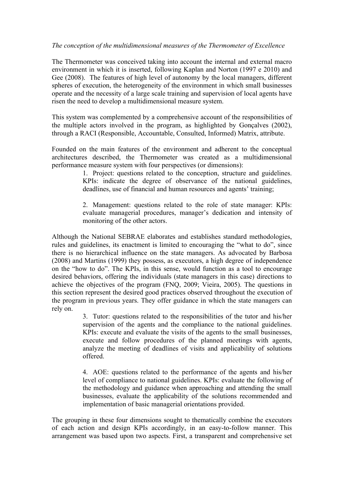# *The conception of the multidimensional measures of the Thermometer of Excellence*

The Thermometer was conceived taking into account the internal and external macro environment in which it is inserted, following Kaplan and Norton (1997 e 2010) and Gee (2008). The features of high level of autonomy by the local managers, different spheres of execution, the heterogeneity of the environment in which small businesses operate and the necessity of a large scale training and supervision of local agents have risen the need to develop a multidimensional measure system.

This system was complemented by a comprehensive account of the responsibilities of the multiple actors involved in the program, as highlighted by Gonçalves (2002), through a RACI (Responsible, Accountable, Consulted, Informed) Matrix, attribute.

Founded on the main features of the environment and adherent to the conceptual architectures described, the Thermometer was created as a multidimensional performance measure system with four perspectives (or dimensions):

> 1. Project: questions related to the conception, structure and guidelines. KPIs: indicate the degree of observance of the national guidelines, deadlines, use of financial and human resources and agents' training;

> 2. Management: questions related to the role of state manager: KPIs: evaluate managerial procedures, manager's dedication and intensity of monitoring of the other actors.

Although the National SEBRAE elaborates and establishes standard methodologies, rules and guidelines, its enactment is limited to encouraging the "what to do", since there is no hierarchical influence on the state managers. As advocated by Barbosa (2008) and Martins (1999) they possess, as executors, a high degree of independence on the "how to do". The KPIs, in this sense, would function as a tool to encourage desired behaviors, offering the individuals (state managers in this case) directions to achieve the objectives of the program (FNQ, 2009; Vieira, 2005). The questions in this section represent the desired good practices observed throughout the execution of the program in previous years. They offer guidance in which the state managers can rely on.

> 3. Tutor: questions related to the responsibilities of the tutor and his/her supervision of the agents and the compliance to the national guidelines. KPIs: execute and evaluate the visits of the agents to the small businesses, execute and follow procedures of the planned meetings with agents, analyze the meeting of deadlines of visits and applicability of solutions offered.

> 4. AOE: questions related to the performance of the agents and his/her level of compliance to national guidelines. KPIs: evaluate the following of the methodology and guidance when approaching and attending the small businesses, evaluate the applicability of the solutions recommended and implementation of basic managerial orientations provided.

The grouping in these four dimensions sought to thematically combine the executors of each action and design KPIs accordingly, in an easy-to-follow manner. This arrangement was based upon two aspects. First, a transparent and comprehensive set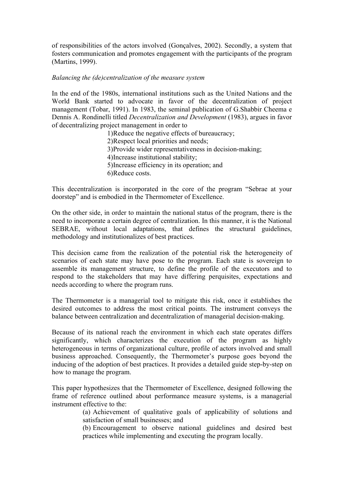of responsibilities of the actors involved (Gonçalves, 2002). Secondly, a system that fosters communication and promotes engagement with the participants of the program (Martins, 1999).

## *Balancing the (de)centralization of the measure system*

In the end of the 1980s, international institutions such as the United Nations and the World Bank started to advocate in favor of the decentralization of project management (Tobar, 1991). In 1983, the seminal publication of G.Shabbir Cheema e Dennis A. Rondinelli titled *Decentralization and Development* (1983), argues in favor of decentralizing project management in order to

> 1)Reduce the negative effects of bureaucracy; 2)Respect local priorities and needs; 3)Provide wider representativeness in decision-making; 4)Increase institutional stability; 5)Increase efficiency in its operation; and 6)Reduce costs.

This decentralization is incorporated in the core of the program "Sebrae at your doorstep" and is embodied in the Thermometer of Excellence.

On the other side, in order to maintain the national status of the program, there is the need to incorporate a certain degree of centralization. In this manner, it is the National SEBRAE, without local adaptations, that defines the structural guidelines, methodology and institutionalizes of best practices.

This decision came from the realization of the potential risk the heterogeneity of scenarios of each state may have pose to the program. Each state is sovereign to assemble its management structure, to define the profile of the executors and to respond to the stakeholders that may have differing perquisites, expectations and needs according to where the program runs.

The Thermometer is a managerial tool to mitigate this risk, once it establishes the desired outcomes to address the most critical points. The instrument conveys the balance between centralization and decentralization of managerial decision-making.

Because of its national reach the environment in which each state operates differs significantly, which characterizes the execution of the program as highly heterogeneous in terms of organizational culture, profile of actors involved and small business approached. Consequently, the Thermometer's purpose goes beyond the inducing of the adoption of best practices. It provides a detailed guide step-by-step on how to manage the program.

This paper hypothesizes that the Thermometer of Excellence, designed following the frame of reference outlined about performance measure systems, is a managerial instrument effective to the:

> (a) Achievement of qualitative goals of applicability of solutions and satisfaction of small businesses; and

> (b) Encouragement to observe national guidelines and desired best practices while implementing and executing the program locally.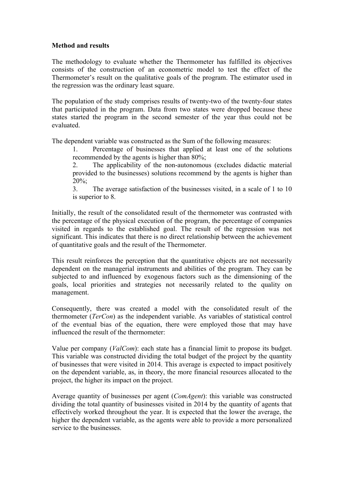# **Method and results**

The methodology to evaluate whether the Thermometer has fulfilled its objectives consists of the construction of an econometric model to test the effect of the Thermometer's result on the qualitative goals of the program. The estimator used in the regression was the ordinary least square.

The population of the study comprises results of twenty-two of the twenty-four states that participated in the program. Data from two states were dropped because these states started the program in the second semester of the year thus could not be evaluated.

The dependent variable was constructed as the Sum of the following measures:

1. Percentage of businesses that applied at least one of the solutions recommended by the agents is higher than 80%;

2. The applicability of the non-autonomous (excludes didactic material provided to the businesses) solutions recommend by the agents is higher than  $20\%$ 

3. The average satisfaction of the businesses visited, in a scale of 1 to 10 is superior to 8.

Initially, the result of the consolidated result of the thermometer was contrasted with the percentage of the physical execution of the program, the percentage of companies visited in regards to the established goal. The result of the regression was not significant. This indicates that there is no direct relationship between the achievement of quantitative goals and the result of the Thermometer.

This result reinforces the perception that the quantitative objects are not necessarily dependent on the managerial instruments and abilities of the program. They can be subjected to and influenced by exogenous factors such as the dimensioning of the goals, local priorities and strategies not necessarily related to the quality on management.

Consequently, there was created a model with the consolidated result of the thermometer (*TerCon*) as the independent variable. As variables of statistical control of the eventual bias of the equation, there were employed those that may have influenced the result of the thermometer:

Value per company (*ValCom*): each state has a financial limit to propose its budget. This variable was constructed dividing the total budget of the project by the quantity of businesses that were visited in 2014. This average is expected to impact positively on the dependent variable, as, in theory, the more financial resources allocated to the project, the higher its impact on the project.

Average quantity of businesses per agent (*ComAgent*): this variable was constructed dividing the total quantity of businesses visited in 2014 by the quantity of agents that effectively worked throughout the year. It is expected that the lower the average, the higher the dependent variable, as the agents were able to provide a more personalized service to the businesses.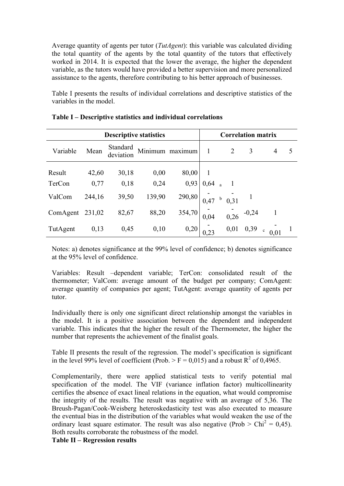Average quantity of agents per tutor (*TutAgent*): this variable was calculated dividing the total quantity of the agents by the total quantity of the tutors that effectively worked in 2014. It is expected that the lower the average, the higher the dependent variable, as the tutors would have provided a better supervision and more personalized assistance to the agents, therefore contributing to his better approach of businesses.

Table I presents the results of individual correlations and descriptive statistics of the variables in the model.

| <b>Descriptive statistics</b> |        |                       |        | <b>Correlation matrix</b> |      |               |      |         |   |   |
|-------------------------------|--------|-----------------------|--------|---------------------------|------|---------------|------|---------|---|---|
| Variable                      | Mean   | Standard<br>deviation |        | Minimum maximum           | 1    |               | 2    | 3       | 4 | 5 |
| Result                        | 42,60  | 30,18                 | 0,00   | 80,00                     |      |               |      |         |   |   |
| TerCon                        | 0,77   | 0,18                  | 0,24   | 0,93                      | 0,64 |               |      |         |   |   |
| ValCom                        | 244,16 | 39,50                 | 139,90 | 290,80                    | 0,47 | $\mathfrak b$ | 0,31 |         |   |   |
| ComAgent                      | 231,02 | 82,67                 | 88,20  | 354,70                    | 0,04 |               | 0,26 | $-0,24$ |   |   |
| TutAgent                      | 0,13   | 0,45                  | 0,10   | 0,20                      |      |               | 0,01 | 0,39    |   |   |

**Table I – Descriptive statistics and individual correlations**

Notes: a) denotes significance at the 99% level of confidence; b) denotes significance at the 95% level of confidence.

Variables: Result –dependent variable; TerCon: consolidated result of the thermometer; ValCom: average amount of the budget per company; ComAgent: average quantity of companies per agent; TutAgent: average quantity of agents per tutor.

Individually there is only one significant direct relationship amongst the variables in the model. It is a positive association between the dependent and independent variable. This indicates that the higher the result of the Thermometer, the higher the number that represents the achievement of the finalist goals.

Table II presents the result of the regression. The model's specification is significant in the level 99% level of coefficient (Prob.  $>$  F = 0,015) and a robust R<sup>2</sup> of 0,4965.

Complementarily, there were applied statistical tests to verify potential mal specification of the model. The VIF (variance inflation factor) multicollinearity certifies the absence of exact lineal relations in the equation, what would compromise the integrity of the results. The result was negative with an average of 5,36. The Breush-Pagan/Cook-Weisberg heteroskedasticity test was also executed to measure the eventual bias in the distribution of the variables what would weaken the use of the ordinary least square estimator. The result was also negative (Prob  $>$  Chi<sup>2</sup> = 0,45). Both results corroborate the robustness of the model.

**Table II – Regression results**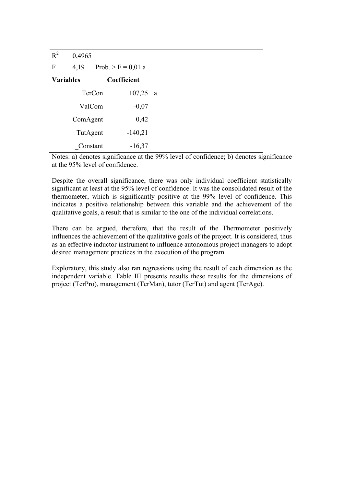| $R^2$            | 0,4965   |                      |              |
|------------------|----------|----------------------|--------------|
| $\mathbf{F}$     | 4,19     | Prob. > $F = 0.01$ a |              |
| <b>Variables</b> |          | Coefficient          |              |
|                  | TerCon   | 107,25               | <sub>a</sub> |
|                  | ValCom   | $-0,07$              |              |
|                  | ComAgent | 0,42                 |              |
|                  | TutAgent | $-140,21$            |              |
|                  | Constant | $-16,37$             |              |

Notes: a) denotes significance at the 99% level of confidence; b) denotes significance at the 95% level of confidence.

Despite the overall significance, there was only individual coefficient statistically significant at least at the 95% level of confidence. It was the consolidated result of the thermometer, which is significantly positive at the 99% level of confidence. This indicates a positive relationship between this variable and the achievement of the qualitative goals, a result that is similar to the one of the individual correlations.

There can be argued, therefore, that the result of the Thermometer positively influences the achievement of the qualitative goals of the project. It is considered, thus as an effective inductor instrument to influence autonomous project managers to adopt desired management practices in the execution of the program.

Exploratory, this study also ran regressions using the result of each dimension as the independent variable. Table III presents results these results for the dimensions of project (TerPro), management (TerMan), tutor (TerTut) and agent (TerAge).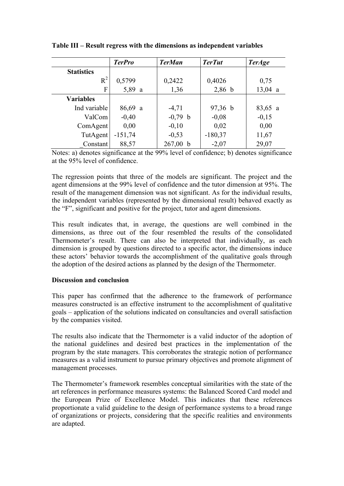|                   | <b>TerPro</b> | <b>TerMan</b> | <b>TerTut</b> | <b>TerAge</b> |
|-------------------|---------------|---------------|---------------|---------------|
| <b>Statistics</b> |               |               |               |               |
| $R^2$             | 0,5799        | 0,2422        | 0,4026        | 0,75          |
| F                 | 5,89 a        | 1,36          | $2,86$ b      | $13,04$ a     |
| <b>Variables</b>  |               |               |               |               |
| Ind variable      | $86,69$ a     | $-4,71$       | $97,36$ b     | $83,65$ a     |
| ValCom            | $-0,40$       | $-0,79$ b     | $-0.08$       | $-0,15$       |
| ComAgent          | 0,00          | $-0,10$       | 0,02          | 0,00          |
| TutAgent          | $-151,74$     | $-0,53$       | $-180,37$     | 11,67         |
| Constant          | 88,57         | 267,00 b      | $-2,07$       | 29,07         |

**Table III – Result regress with the dimensions as independent variables**

Notes: a) denotes significance at the 99% level of confidence; b) denotes significance at the 95% level of confidence.

The regression points that three of the models are significant. The project and the agent dimensions at the 99% level of confidence and the tutor dimension at 95%. The result of the management dimension was not significant. As for the individual results, the independent variables (represented by the dimensional result) behaved exactly as the "F", significant and positive for the project, tutor and agent dimensions.

This result indicates that, in average, the questions are well combined in the dimensions, as three out of the four resembled the results of the consolidated Thermometer's result. There can also be interpreted that individually, as each dimension is grouped by questions directed to a specific actor, the dimensions induce these actors' behavior towards the accomplishment of the qualitative goals through the adoption of the desired actions as planned by the design of the Thermometer.

# **Discussion and conclusion**

This paper has confirmed that the adherence to the framework of performance measures constructed is an effective instrument to the accomplishment of qualitative goals – application of the solutions indicated on consultancies and overall satisfaction by the companies visited.

The results also indicate that the Thermometer is a valid inductor of the adoption of the national guidelines and desired best practices in the implementation of the program by the state managers. This corroborates the strategic notion of performance measures as a valid instrument to pursue primary objectives and promote alignment of management processes.

The Thermometer's framework resembles conceptual similarities with the state of the art references in performance measures systems: the Balanced Scored Card model and the European Prize of Excellence Model. This indicates that these references proportionate a valid guideline to the design of performance systems to a broad range of organizations or projects, considering that the specific realities and environments are adapted.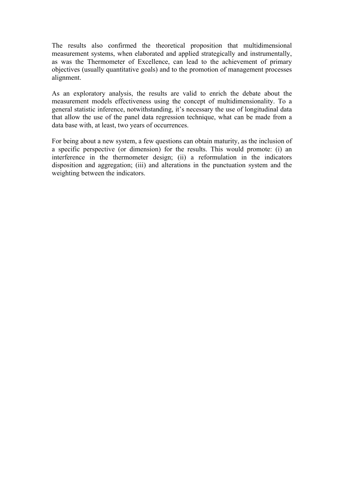The results also confirmed the theoretical proposition that multidimensional measurement systems, when elaborated and applied strategically and instrumentally, as was the Thermometer of Excellence, can lead to the achievement of primary objectives (usually quantitative goals) and to the promotion of management processes alignment.

As an exploratory analysis, the results are valid to enrich the debate about the measurement models effectiveness using the concept of multidimensionality. To a general statistic inference, notwithstanding, it's necessary the use of longitudinal data that allow the use of the panel data regression technique, what can be made from a data base with, at least, two years of occurrences.

For being about a new system, a few questions can obtain maturity, as the inclusion of a specific perspective (or dimension) for the results. This would promote: (i) an interference in the thermometer design; (ii) a reformulation in the indicators disposition and aggregation; (iii) and alterations in the punctuation system and the weighting between the indicators.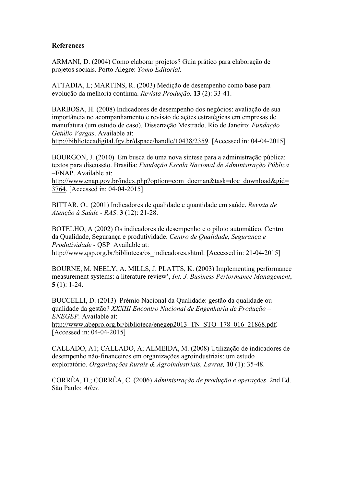# **References**

ARMANI, D. (2004) Como elaborar projetos? Guia prático para elaboração de projetos sociais. Porto Alegre: *Tomo Editorial.*

ATTADIA, L; MARTINS, R. (2003) Medição de desempenho como base para evolução da melhoria contínua. *Revista Produção,* **13** (2): 33-41.

BARBOSA, H. (2008) Indicadores de desempenho dos negócios: avaliação de sua importância no acompanhamento e revisão de ações estratégicas em empresas de manufatura (um estudo de caso). Dissertação Mestrado. Rio de Janeiro: *Fundação Getúlio Vargas*. Available at:

http://bibliotecadigital.fgv.br/dspace/handle/10438/2359. [Accessed in: 04-04-2015]

BOURGON, J. (2010) Em busca de uma nova síntese para a administração pública: textos para discussão. Brasília: *Fundação Escola Nacional de Administração Pública* –ENAP. Available at:

http://www.enap.gov.br/index.php?option=com\_docman&task=doc\_download&gid= 3764. [Accessed in: 04-04-2015]

BITTAR, O.. (2001) Indicadores de qualidade e quantidade em saúde. *Revista de Atenção à Saúde* - *RAS*: **3** (12): 21-28.

BOTELHO, A (2002) Os indicadores de desempenho e o piloto automático. Centro da Qualidade, Segurança e produtividade. *Centro de Qualidade, Segurança e Produtividade* - QSP Available at: http://www.qsp.org.br/biblioteca/os\_indicadores.shtml. [Accessed in: 21-04-2015]

BOURNE, M. NEELY, A. MILLS, J. PLATTS, K. (2003) Implementing performance measurement systems: a literature review', *Int. J. Business Performance Management*, **5** (1): 1-24.

BUCCELLI, D. (2013) Prêmio Nacional da Qualidade: gestão da qualidade ou qualidade da gestão? *XXXIII Encontro Nacional de Engenharia de Produção – ENEGEP.* Available at:

http://www.abepro.org.br/biblioteca/enegep2013\_TN\_STO\_178\_016\_21868.pdf. [Accessed in: 04-04-2015]

CALLADO, A1; CALLADO, A; ALMEIDA, M. (2008) Utilização de indicadores de desempenho não-financeiros em organizações agroindustriais: um estudo exploratório. *Organizações Rurais & Agroindustriais, Lavras,* **10** (1): 35-48.

CORRÊA, H.; CORRÊA, C. (2006) *Administração de produção e operações*. 2nd Ed. São Paulo: *Atlas.*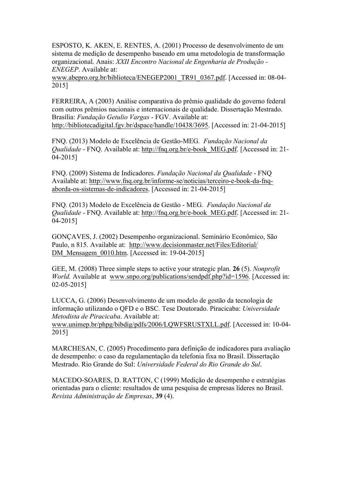ESPOSTO, K. AKEN, E. RENTES, A. (2001) Processo de desenvolvimento de um sistema de medição de desempenho baseado em uma metodologia de transformação organizacional. Anais: *XXII Encontro Nacional de Engenharia de Produção - ENEGEP*. Available at:

www.abepro.org.br/biblioteca/ENEGEP2001\_TR91\_0367.pdf. [Accessed in: 08-04- 2015]

FERREIRA, A (2003) Análise comparativa do prêmio qualidade do governo federal com outros prêmios nacionais e internacionais de qualidade. Dissertação Mestrado. Brasília: *Fundação Getulio Vargas* - FGV. Available at: http://bibliotecadigital.fgv.br/dspace/handle/10438/3695. [Accessed in: 21-04-2015]

FNQ. (2013) Modelo de Excelência de Gestão-MEG*. Fundação Nacional da Qualidade* - FNQ. Available at: http://fnq.org.br/e-book\_MEG.pdf. [Accessed in: 21- 04-2015]

FNQ. (2009) Sistema de Indicadores. *Fundação Nacional da Qualidade* - FNQ Available at: http://www.fnq.org.br/informe-se/noticias/terceiro-e-book-da-fnqaborda-os-sistemas-de-indicadores. [Accessed in: 21-04-2015]

FNQ. (2013) Modelo de Excelência de Gestão - MEG*. Fundação Nacional da Qualidade* - FNQ. Available at: http://fnq.org.br/e-book\_MEG.pdf. [Accessed in: 21- 04-2015]

GONÇAVES, J. (2002) Desempenho organizacional. Seminário Econômico, São Paulo, n 815. Available at: http://www.decisionmaster.net/Files/Editorial/ DM\_Mensagem\_0010.htm. [Accessed in: 19-04-2015]

GEE, M. (2008) Three simple steps to active your strategic plan. **26** (5). *Nonprofit World.* Available at www.snpo.org/publications/sendpdf.php?id=1596. [Accessed in: 02-05-2015]

LUCCA, G. (2006) Desenvolvimento de um modelo de gestão da tecnologia de informação utilizando o QFD e o BSC*.* Tese Doutorado. Piracicaba: *Universidade Metodista de Piracicaba*. Available at:

www.unimep.br/phpg/bibdig/pdfs/2006/LQWFSRUSTXLL.pdf. [Accessed in: 10-04- 2015]

MARCHESAN, C. (2005) Procedimento para definição de indicadores para avaliação de desempenho: o caso da regulamentação da telefonia fixa no Brasil. Dissertação Mestrado. Rio Grande do Sul: *Universidade Federal do Rio Grande do Sul*.

MACEDO-SOARES, D. RATTON, C (1999) Medição de desempenho e estratégias orientadas para o cliente: resultados de uma pesquisa de empresas líderes no Brasil. *Revista Administração de Empresas*, **39** (4).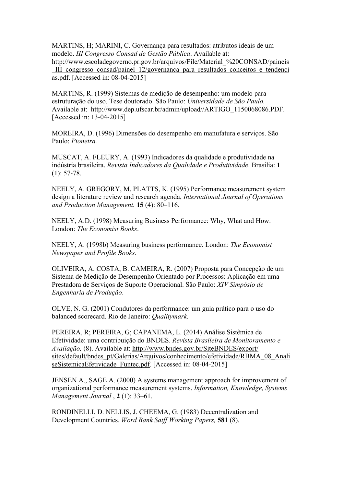MARTINS, H; MARINI, C. Governança para resultados: atributos ideais de um modelo. *III Congresso Consad de Gestão Pública*. Available at: http://www.escoladegoverno.pr.gov.br/arquivos/File/Material\_%20CONSAD/paineis \_III\_congresso\_consad/painel\_12/governanca\_para\_resultados\_conceitos\_e\_tendenci as.pdf. [Accessed in: 08-04-2015]

MARTINS, R. (1999) Sistemas de medição de desempenho: um modelo para estruturação do uso. Tese doutorado. São Paulo: *Universidade de São Paulo.* Available at: http://www.dep.ufscar.br/admin/upload//ARTIGO\_1150068086.PDF. [Accessed in: 13-04-2015]

MOREIRA, D. (1996) Dimensões do desempenho em manufatura e serviços. São Paulo: *Pioneira.*

MUSCAT, A. FLEURY, A. (1993) Indicadores da qualidade e produtividade na indústria brasileira. *Revista Indicadores da Qualidade e Produtividade*. Brasília: **1**  (1): 57-78.

NEELY, A. GREGORY, M. PLATTS, K. (1995) Performance measurement system design a literature review and research agenda, *International Journal of Operations and Production Management.* **15** (4): 80–116.

NEELY, A.D. (1998) Measuring Business Performance: Why, What and How. London: *The Economist Books*.

NEELY, A. (1998b) Measuring business performance. London: *The Economist Newspaper and Profile Books*.

OLIVEIRA, A. COSTA, B. CAMEIRA, R. (2007) Proposta para Concepção de um Sistema de Medição de Desempenho Orientado por Processos: Aplicação em uma Prestadora de Serviços de Suporte Operacional. São Paulo: *XIV Simpósio de Engenharia de Produção*.

OLVE, N. G. (2001) Condutores da performance: um guia prático para o uso do balanced scorecard. Rio de Janeiro: *Qualitymark.*

PEREIRA, R; PEREIRA, G; CAPANEMA, L. (2014) Análise Sistêmica de Efetividade: uma contribuição do BNDES. *Revista Brasileira de Monitoramento e Avaliação,* (8). Available at: http://www.bndes.gov.br/SiteBNDES/export/ sites/default/bndes\_pt/Galerias/Arquivos/conhecimento/efetividade/RBMA\_08\_Anali seSistemicaEfetividade Funtec.pdf. [Accessed in: 08-04-2015]

JENSEN A., SAGE A. (2000) A systems management approach for improvement of organizational performance measurement systems. *Information, Knowledge, Systems Management Journal* , **2** (1): 33–61.

RONDINELLI, D. NELLIS, J. CHEEMA, G. (1983) Decentralization and Development Countries. *Word Bank Satff Working Papers,* **581** (8).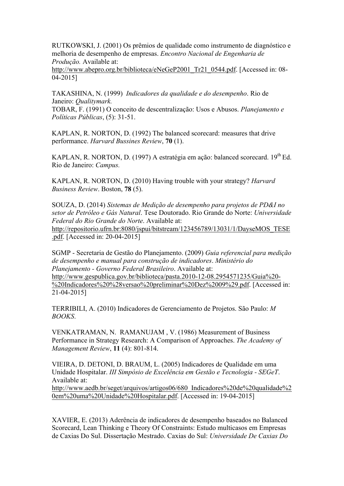RUTKOWSKI, J. (2001) Os prêmios de qualidade como instrumento de diagnóstico e melhoria de desempenho de empresas. *Encontro Nacional de Engenharia de Produção.* Available at:

http://www.abepro.org.br/biblioteca/eNeGeP2001\_Tr21\_0544.pdf. [Accessed in: 08-04-2015]

TAKASHINA, N. (1999) *Indicadores da qualidade e do desempenho*. Rio de Janeiro: *Qualitymark.*

TOBAR, F. (1991) O conceito de descentralização: Usos e Abusos. *Planejamento e Políticas Públicas*, (5): 31-51.

KAPLAN, R. NORTON, D. (1992) The balanced scorecard: measures that drive performance. *Harvard Bussines Review*, **70** (1).

KAPLAN, R. NORTON, D. (1997) A estratégia em ação: balanced scorecard. 19<sup>th</sup> Ed. Rio de Janeiro: *Campus.*

KAPLAN, R. NORTON, D. (2010) Having trouble with your strategy? *Harvard Business Review*. Boston, **78** (5).

SOUZA, D. (2014) *Sistemas de Medição de desempenho para projetos de PD&I no setor de Petróleo e Gás Natural*. Tese Doutorado. Rio Grande do Norte: *Universidade Federal do Rio Grande do Norte*. Available at: http://repositorio.ufrn.br:8080/jspui/bitstream/123456789/13031/1/DayseMOS\_TESE .pdf. [Accessed in: 20-04-2015]

SGMP - Secretaria de Gestão do Planejamento. (2009) *Guia referencial para medição de desempenho e manual para construção de indicadores*. *Ministério do Planejamento - Governo Federal Brasileiro*. Available at: http://www.gespublica.gov.br/biblioteca/pasta.2010-12-08.2954571235/Guia%20- %20Indicadores%20%28versao%20preliminar%20Dez%2009%29.pdf. [Accessed in: 21-04-2015]

TERRIBILI, A. (2010) Indicadores de Gerenciamento de Projetos. São Paulo: *M BOOKS*.

VENKATRAMAN, N. RAMANUJAM , V. (1986) Measurement of Business Performance in Strategy Research: A Comparison of Approaches. *The Academy of Management Review*, **11** (4): 801-814.

VIEIRA, D. DETONI, D. BRAUM, L. (2005) Indicadores de Qualidade em uma Unidade Hospitalar. *III Simpósio de Excelência em Gestão e Tecnologia - SEGeT*. Available at:

http://www.aedb.br/seget/arquivos/artigos06/680\_Indicadores%20de%20qualidade%2 0em%20uma%20Unidade%20Hospitalar.pdf. [Accessed in: 19-04-2015]

XAVIER, E. (2013) Aderência de indicadores de desempenho baseados no Balanced Scorecard, Lean Thinking e Theory Of Constraints: Estudo multicasos em Empresas de Caxias Do Sul. Dissertação Mestrado. Caxias do Sul: *Universidade De Caxias Do*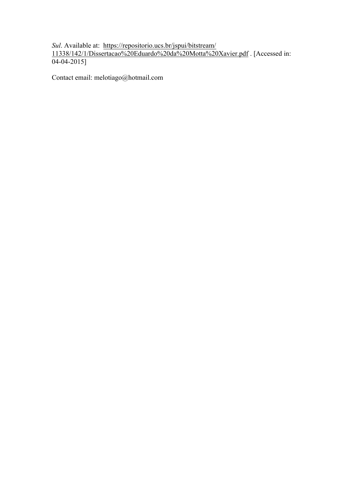*Sul*. Available at: https://repositorio.ucs.br/jspui/bitstream/ 11338/142/1/Dissertacao%20Eduardo%20da%20Motta%20Xavier.pdf . [Accessed in:  $04 - 04 - 2015$ 

Contact email: melotiago@hotmail.com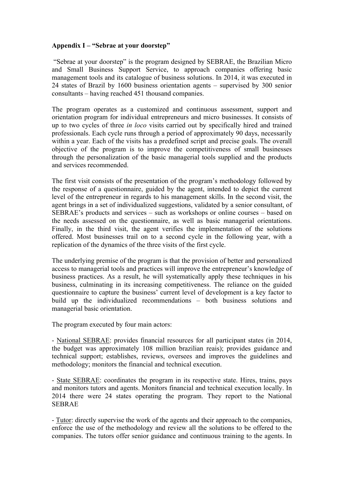## **Appendix I – "Sebrae at your doorstep"**

"Sebrae at your doorstep" is the program designed by SEBRAE, the Brazilian Micro and Small Business Support Service, to approach companies offering basic management tools and its catalogue of business solutions. In 2014, it was executed in 24 states of Brazil by 1600 business orientation agents – supervised by 300 senior consultants – having reached 451 thousand companies.

The program operates as a customized and continuous assessment, support and orientation program for individual entrepreneurs and micro businesses. It consists of up to two cycles of three *in loco* visits carried out by specifically hired and trained professionals. Each cycle runs through a period of approximately 90 days, necessarily within a year. Each of the visits has a predefined script and precise goals. The overall objective of the program is to improve the competitiveness of small businesses through the personalization of the basic managerial tools supplied and the products and services recommended.

The first visit consists of the presentation of the program's methodology followed by the response of a questionnaire, guided by the agent, intended to depict the current level of the entrepreneur in regards to his management skills. In the second visit, the agent brings in a set of individualized suggestions, validated by a senior consultant, of SEBRAE's products and services – such as workshops or online courses – based on the needs assessed on the questionnaire, as well as basic managerial orientations. Finally, in the third visit, the agent verifies the implementation of the solutions offered. Most businesses trail on to a second cycle in the following year, with a replication of the dynamics of the three visits of the first cycle.

The underlying premise of the program is that the provision of better and personalized access to managerial tools and practices will improve the entrepreneur's knowledge of business practices. As a result, he will systematically apply these techniques in his business, culminating in its increasing competitiveness. The reliance on the guided questionnaire to capture the business' current level of development is a key factor to build up the individualized recommendations – both business solutions and managerial basic orientation.

The program executed by four main actors:

- National SEBRAE: provides financial resources for all participant states (in 2014, the budget was approximately 108 million brazilian reais); provides guidance and technical support; establishes, reviews, oversees and improves the guidelines and methodology; monitors the financial and technical execution.

- State SEBRAE: coordinates the program in its respective state. Hires, trains, pays and monitors tutors and agents. Monitors financial and technical execution locally. In 2014 there were 24 states operating the program. They report to the National SEBRAE

- Tutor: directly supervise the work of the agents and their approach to the companies, enforce the use of the methodology and review all the solutions to be offered to the companies. The tutors offer senior guidance and continuous training to the agents. In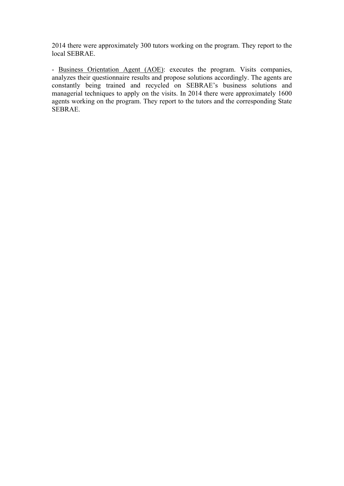2014 there were approximately 300 tutors working on the program. They report to the local SEBRAE.

- Business Orientation Agent (AOE): executes the program. Visits companies, analyzes their questionnaire results and propose solutions accordingly. The agents are constantly being trained and recycled on SEBRAE's business solutions and managerial techniques to apply on the visits. In 2014 there were approximately 1600 agents working on the program. They report to the tutors and the corresponding State SEBRAE.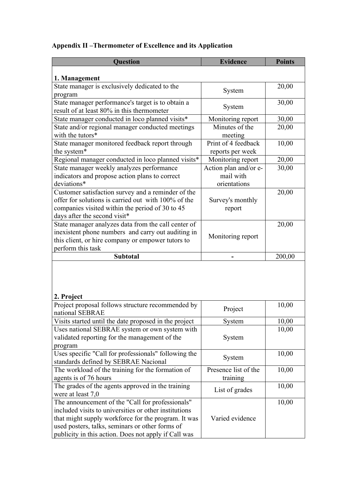# **Appendix II –Thermometer of Excellence and its Application**

| <b>Question</b>                                                                                                                                                                                                                                                             | <b>Evidence</b>                                    | <b>Points</b> |
|-----------------------------------------------------------------------------------------------------------------------------------------------------------------------------------------------------------------------------------------------------------------------------|----------------------------------------------------|---------------|
| 1. Management                                                                                                                                                                                                                                                               |                                                    |               |
| State manager is exclusively dedicated to the<br>program                                                                                                                                                                                                                    | System                                             | 20,00         |
| State manager performance's target is to obtain a<br>result of at least 80% in this thermometer                                                                                                                                                                             | System                                             | 30,00         |
| State manager conducted in loco planned visits*                                                                                                                                                                                                                             | Monitoring report                                  | 30,00         |
| State and/or regional manager conducted meetings<br>with the tutors*                                                                                                                                                                                                        | Minutes of the<br>meeting                          | 20,00         |
| State manager monitored feedback report through<br>the system*                                                                                                                                                                                                              | Print of 4 feedback<br>reports per week            | 10,00         |
| Regional manager conducted in loco planned visits*                                                                                                                                                                                                                          | Monitoring report                                  | 20,00         |
| State manager weekly analyzes performance<br>indicators and propose action plans to correct<br>deviations*                                                                                                                                                                  | Action plan and/or e-<br>mail with<br>orientations | 30,00         |
| Customer satisfaction survey and a reminder of the<br>offer for solutions is carried out with 100% of the<br>companies visited within the period of 30 to 45<br>days after the second visit*                                                                                | Survey's monthly<br>report                         | 20,00         |
| State manager analyzes data from the call center of<br>inexistent phone numbers and carry out auditing in<br>this client, or hire company or empower tutors to<br>perform this task                                                                                         | Monitoring report                                  | 20,00         |
| <b>Subtotal</b>                                                                                                                                                                                                                                                             |                                                    | 200,00        |
| 2. Project<br>Project proposal follows structure recommended by                                                                                                                                                                                                             |                                                    | 10,00         |
| national SEBRAE                                                                                                                                                                                                                                                             | Project                                            |               |
| Visits started until the date proposed in the project                                                                                                                                                                                                                       | System                                             | 10,00         |
| Uses national SEBRAE system or own system with<br>validated reporting for the management of the<br>program                                                                                                                                                                  | System                                             | 10,00         |
| Uses specific "Call for professionals" following the<br>standards defined by SEBRAE Nacional                                                                                                                                                                                | System                                             | 10,00         |
| The workload of the training for the formation of<br>agents is of 76 hours                                                                                                                                                                                                  | Presence list of the<br>training                   | 10,00         |
| The grades of the agents approved in the training<br>were at least 7,0                                                                                                                                                                                                      | List of grades                                     | 10,00         |
| The announcement of the "Call for professionals"<br>included visits to universities or other institutions<br>that might supply workforce for the program. It was<br>used posters, talks, seminars or other forms of<br>publicity in this action. Does not apply if Call was | Varied evidence                                    | 10,00         |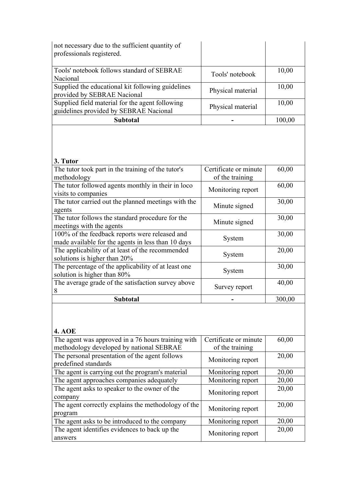| not necessary due to the sufficient quantity of<br>professionals registered.                                                     |                       |        |
|----------------------------------------------------------------------------------------------------------------------------------|-----------------------|--------|
| Tools' notebook follows standard of SEBRAE<br>Nacional                                                                           | Tools' notebook       | 10,00  |
| Supplied the educational kit following guidelines<br>provided by SEBRAE Nacional                                                 | Physical material     | 10,00  |
| Supplied field material for the agent following<br>guidelines provided by SEBRAE Nacional                                        | Physical material     | 10,00  |
| <b>Subtotal</b>                                                                                                                  |                       | 100,00 |
| 3. Tutor<br>The tutor took part in the training of the tutor's                                                                   | Certificate or minute | 60,00  |
| methodology                                                                                                                      | of the training       |        |
| The tutor followed agents monthly in their in loco<br>visits to companies                                                        | Monitoring report     | 60,00  |
| The tutor carried out the planned meetings with the<br>agents                                                                    | Minute signed         | 30,00  |
|                                                                                                                                  |                       | 30,00  |
| The tutor follows the standard procedure for the                                                                                 | Minute signed         |        |
| meetings with the agents<br>100% of the feedback reports were released and<br>made available for the agents in less than 10 days | System                | 30,00  |
| The applicability of at least of the recommended                                                                                 | System                | 20,00  |
| solutions is higher than 20%<br>The percentage of the applicability of at least one                                              | System                | 30,00  |
| solution is higher than 80%<br>The average grade of the satisfaction survey above<br>8                                           | Survey report         | 40,00  |

| The agent was approved in a 76 hours training with<br>methodology developed by national SEBRAE | Certificate or minute<br>of the training | 60,00 |
|------------------------------------------------------------------------------------------------|------------------------------------------|-------|
| The personal presentation of the agent follows<br>predefined standards                         | Monitoring report                        | 20,00 |
| The agent is carrying out the program's material                                               | Monitoring report                        | 20,00 |
| The agent approaches companies adequately                                                      | Monitoring report                        | 20,00 |
| The agent asks to speaker to the owner of the<br>company                                       | Monitoring report                        | 20,00 |
| The agent correctly explains the methodology of the<br>program                                 | Monitoring report                        | 20,00 |
| The agent asks to be introduced to the company                                                 | Monitoring report                        | 20,00 |
| The agent identifies evidences to back up the<br>answers                                       | Monitoring report                        | 20,00 |